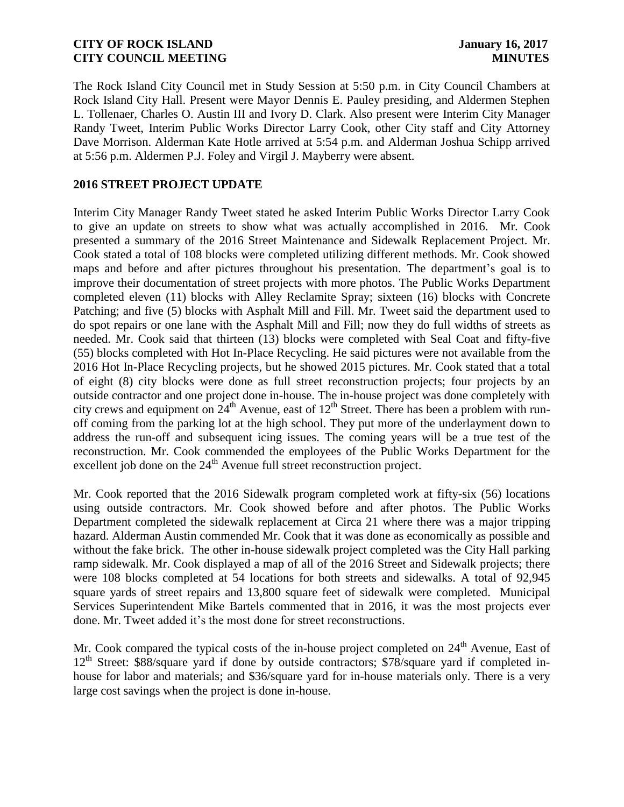The Rock Island City Council met in Study Session at 5:50 p.m. in City Council Chambers at Rock Island City Hall. Present were Mayor Dennis E. Pauley presiding, and Aldermen Stephen L. Tollenaer, Charles O. Austin III and Ivory D. Clark. Also present were Interim City Manager Randy Tweet, Interim Public Works Director Larry Cook, other City staff and City Attorney Dave Morrison. Alderman Kate Hotle arrived at 5:54 p.m. and Alderman Joshua Schipp arrived at 5:56 p.m. Aldermen P.J. Foley and Virgil J. Mayberry were absent.

### **2016 STREET PROJECT UPDATE**

Interim City Manager Randy Tweet stated he asked Interim Public Works Director Larry Cook to give an update on streets to show what was actually accomplished in 2016. Mr. Cook presented a summary of the 2016 Street Maintenance and Sidewalk Replacement Project. Mr. Cook stated a total of 108 blocks were completed utilizing different methods. Mr. Cook showed maps and before and after pictures throughout his presentation. The department's goal is to improve their documentation of street projects with more photos. The Public Works Department completed eleven (11) blocks with Alley Reclamite Spray; sixteen (16) blocks with Concrete Patching; and five (5) blocks with Asphalt Mill and Fill. Mr. Tweet said the department used to do spot repairs or one lane with the Asphalt Mill and Fill; now they do full widths of streets as needed. Mr. Cook said that thirteen (13) blocks were completed with Seal Coat and fifty-five (55) blocks completed with Hot In-Place Recycling. He said pictures were not available from the 2016 Hot In-Place Recycling projects, but he showed 2015 pictures. Mr. Cook stated that a total of eight (8) city blocks were done as full street reconstruction projects; four projects by an outside contractor and one project done in-house. The in-house project was done completely with city crews and equipment on  $24<sup>th</sup>$  Avenue, east of  $12<sup>th</sup>$  Street. There has been a problem with runoff coming from the parking lot at the high school. They put more of the underlayment down to address the run-off and subsequent icing issues. The coming years will be a true test of the reconstruction. Mr. Cook commended the employees of the Public Works Department for the excellent job done on the  $24<sup>th</sup>$  Avenue full street reconstruction project.

Mr. Cook reported that the 2016 Sidewalk program completed work at fifty-six (56) locations using outside contractors. Mr. Cook showed before and after photos. The Public Works Department completed the sidewalk replacement at Circa 21 where there was a major tripping hazard. Alderman Austin commended Mr. Cook that it was done as economically as possible and without the fake brick. The other in-house sidewalk project completed was the City Hall parking ramp sidewalk. Mr. Cook displayed a map of all of the 2016 Street and Sidewalk projects; there were 108 blocks completed at 54 locations for both streets and sidewalks. A total of 92,945 square yards of street repairs and 13,800 square feet of sidewalk were completed. Municipal Services Superintendent Mike Bartels commented that in 2016, it was the most projects ever done. Mr. Tweet added it's the most done for street reconstructions.

Mr. Cook compared the typical costs of the in-house project completed on 24<sup>th</sup> Avenue, East of 12<sup>th</sup> Street: \$88/square yard if done by outside contractors; \$78/square yard if completed inhouse for labor and materials; and \$36/square yard for in-house materials only. There is a very large cost savings when the project is done in-house.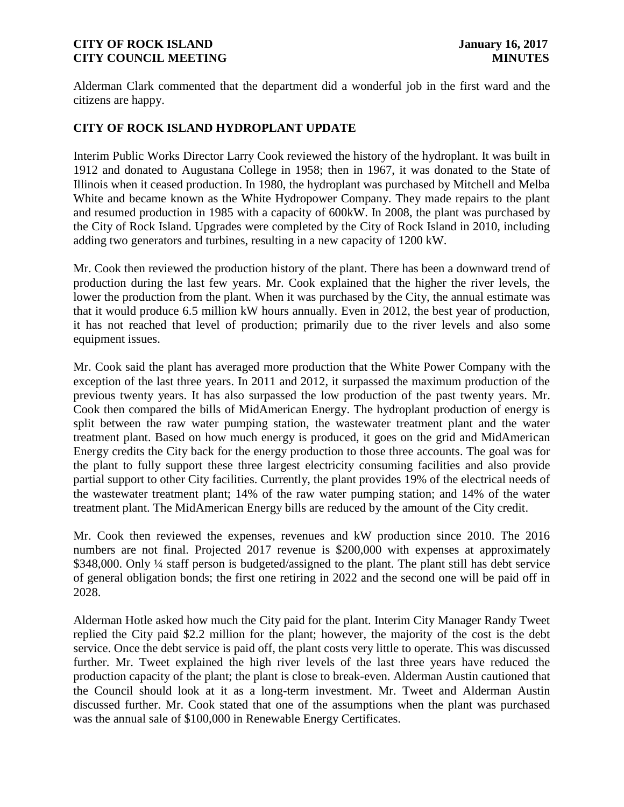Alderman Clark commented that the department did a wonderful job in the first ward and the citizens are happy.

## **CITY OF ROCK ISLAND HYDROPLANT UPDATE**

Interim Public Works Director Larry Cook reviewed the history of the hydroplant. It was built in 1912 and donated to Augustana College in 1958; then in 1967, it was donated to the State of Illinois when it ceased production. In 1980, the hydroplant was purchased by Mitchell and Melba White and became known as the White Hydropower Company. They made repairs to the plant and resumed production in 1985 with a capacity of 600kW. In 2008, the plant was purchased by the City of Rock Island. Upgrades were completed by the City of Rock Island in 2010, including adding two generators and turbines, resulting in a new capacity of 1200 kW.

Mr. Cook then reviewed the production history of the plant. There has been a downward trend of production during the last few years. Mr. Cook explained that the higher the river levels, the lower the production from the plant. When it was purchased by the City, the annual estimate was that it would produce 6.5 million kW hours annually. Even in 2012, the best year of production, it has not reached that level of production; primarily due to the river levels and also some equipment issues.

Mr. Cook said the plant has averaged more production that the White Power Company with the exception of the last three years. In 2011 and 2012, it surpassed the maximum production of the previous twenty years. It has also surpassed the low production of the past twenty years. Mr. Cook then compared the bills of MidAmerican Energy. The hydroplant production of energy is split between the raw water pumping station, the wastewater treatment plant and the water treatment plant. Based on how much energy is produced, it goes on the grid and MidAmerican Energy credits the City back for the energy production to those three accounts. The goal was for the plant to fully support these three largest electricity consuming facilities and also provide partial support to other City facilities. Currently, the plant provides 19% of the electrical needs of the wastewater treatment plant; 14% of the raw water pumping station; and 14% of the water treatment plant. The MidAmerican Energy bills are reduced by the amount of the City credit.

Mr. Cook then reviewed the expenses, revenues and kW production since 2010. The 2016 numbers are not final. Projected 2017 revenue is \$200,000 with expenses at approximately \$348,000. Only <sup>1</sup>/4 staff person is budgeted/assigned to the plant. The plant still has debt service of general obligation bonds; the first one retiring in 2022 and the second one will be paid off in 2028.

Alderman Hotle asked how much the City paid for the plant. Interim City Manager Randy Tweet replied the City paid \$2.2 million for the plant; however, the majority of the cost is the debt service. Once the debt service is paid off, the plant costs very little to operate. This was discussed further. Mr. Tweet explained the high river levels of the last three years have reduced the production capacity of the plant; the plant is close to break-even. Alderman Austin cautioned that the Council should look at it as a long-term investment. Mr. Tweet and Alderman Austin discussed further. Mr. Cook stated that one of the assumptions when the plant was purchased was the annual sale of \$100,000 in Renewable Energy Certificates.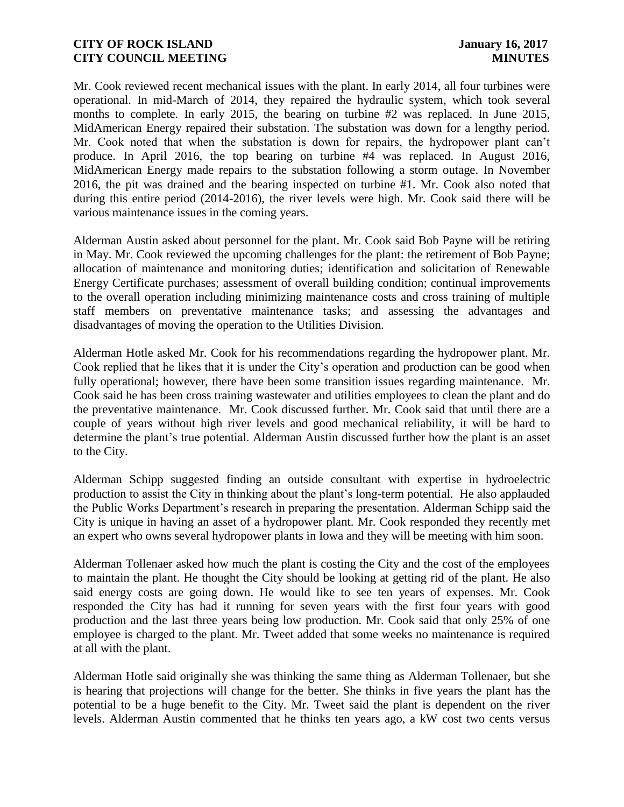Mr. Cook reviewed recent mechanical issues with the plant. In early 2014, all four turbines were operational. In mid-March of 2014, they repaired the hydraulic system, which took several months to complete. In early 2015, the bearing on turbine #2 was replaced. In June 2015, MidAmerican Energy repaired their substation. The substation was down for a lengthy period. Mr. Cook noted that when the substation is down for repairs, the hydropower plant can't produce. In April 2016, the top bearing on turbine #4 was replaced. In August 2016, MidAmerican Energy made repairs to the substation following a storm outage. In November 2016, the pit was drained and the bearing inspected on turbine #1. Mr. Cook also noted that during this entire period (2014-2016), the river levels were high. Mr. Cook said there will be various maintenance issues in the coming years.

Alderman Austin asked about personnel for the plant. Mr. Cook said Bob Payne will be retiring in May. Mr. Cook reviewed the upcoming challenges for the plant: the retirement of Bob Payne; allocation of maintenance and monitoring duties; identification and solicitation of Renewable Energy Certificate purchases; assessment of overall building condition; continual improvements to the overall operation including minimizing maintenance costs and cross training of multiple staff members on preventative maintenance tasks; and assessing the advantages and disadvantages of moving the operation to the Utilities Division.

Alderman Hotle asked Mr. Cook for his recommendations regarding the hydropower plant. Mr. Cook replied that he likes that it is under the City's operation and production can be good when fully operational; however, there have been some transition issues regarding maintenance. Mr. Cook said he has been cross training wastewater and utilities employees to clean the plant and do the preventative maintenance. Mr. Cook discussed further. Mr. Cook said that until there are a couple of years without high river levels and good mechanical reliability, it will be hard to determine the plant's true potential. Alderman Austin discussed further how the plant is an asset to the City.

Alderman Schipp suggested finding an outside consultant with expertise in hydroelectric production to assist the City in thinking about the plant's long-term potential. He also applauded the Public Works Department's research in preparing the presentation. Alderman Schipp said the City is unique in having an asset of a hydropower plant. Mr. Cook responded they recently met an expert who owns several hydropower plants in Iowa and they will be meeting with him soon.

Alderman Tollenaer asked how much the plant is costing the City and the cost of the employees to maintain the plant. He thought the City should be looking at getting rid of the plant. He also said energy costs are going down. He would like to see ten years of expenses. Mr. Cook responded the City has had it running for seven years with the first four years with good production and the last three years being low production. Mr. Cook said that only 25% of one employee is charged to the plant. Mr. Tweet added that some weeks no maintenance is required at all with the plant.

Alderman Hotle said originally she was thinking the same thing as Alderman Tollenaer, but she is hearing that projections will change for the better. She thinks in five years the plant has the potential to be a huge benefit to the City. Mr. Tweet said the plant is dependent on the river levels. Alderman Austin commented that he thinks ten years ago, a kW cost two cents versus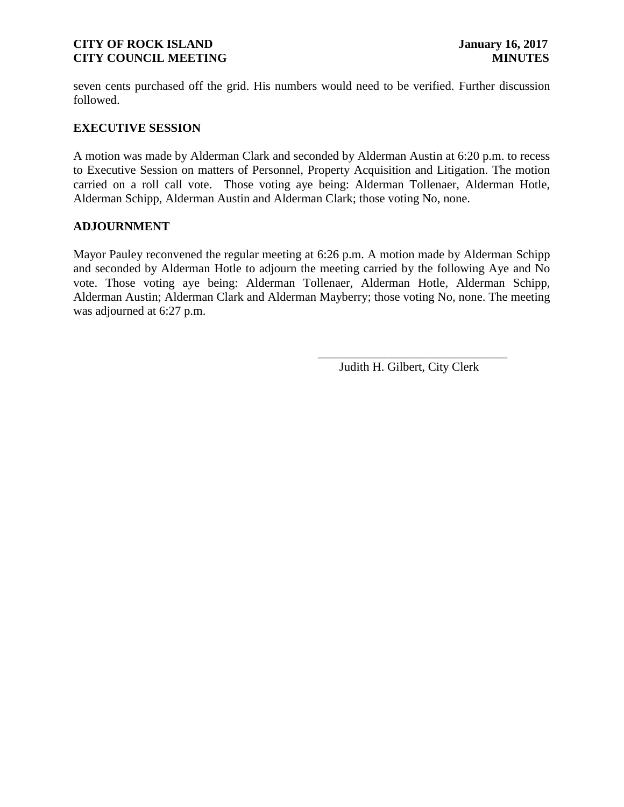seven cents purchased off the grid. His numbers would need to be verified. Further discussion followed.

#### **EXECUTIVE SESSION**

A motion was made by Alderman Clark and seconded by Alderman Austin at 6:20 p.m. to recess to Executive Session on matters of Personnel, Property Acquisition and Litigation. The motion carried on a roll call vote. Those voting aye being: Alderman Tollenaer, Alderman Hotle, Alderman Schipp, Alderman Austin and Alderman Clark; those voting No, none.

#### **ADJOURNMENT**

Mayor Pauley reconvened the regular meeting at 6:26 p.m. A motion made by Alderman Schipp and seconded by Alderman Hotle to adjourn the meeting carried by the following Aye and No vote. Those voting aye being: Alderman Tollenaer, Alderman Hotle, Alderman Schipp, Alderman Austin; Alderman Clark and Alderman Mayberry; those voting No, none. The meeting was adjourned at 6:27 p.m.

 $\overline{\phantom{a}}$  , and the contract of the contract of the contract of the contract of the contract of the contract of the contract of the contract of the contract of the contract of the contract of the contract of the contrac

Judith H. Gilbert, City Clerk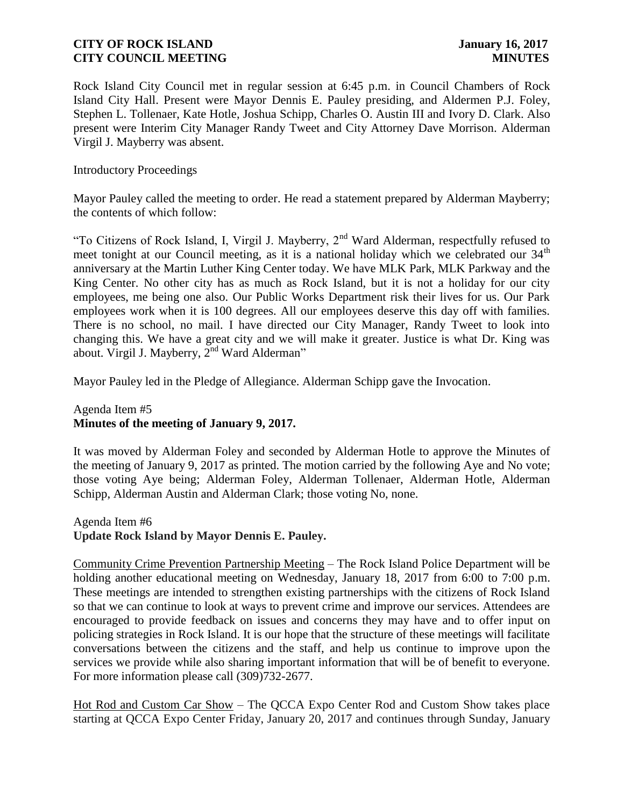Rock Island City Council met in regular session at 6:45 p.m. in Council Chambers of Rock Island City Hall. Present were Mayor Dennis E. Pauley presiding, and Aldermen P.J. Foley, Stephen L. Tollenaer, Kate Hotle, Joshua Schipp, Charles O. Austin III and Ivory D. Clark. Also present were Interim City Manager Randy Tweet and City Attorney Dave Morrison. Alderman Virgil J. Mayberry was absent.

Introductory Proceedings

Mayor Pauley called the meeting to order. He read a statement prepared by Alderman Mayberry; the contents of which follow:

"To Citizens of Rock Island, I, Virgil J. Mayberry, 2nd Ward Alderman, respectfully refused to meet tonight at our Council meeting, as it is a national holiday which we celebrated our  $34<sup>th</sup>$ anniversary at the Martin Luther King Center today. We have MLK Park, MLK Parkway and the King Center. No other city has as much as Rock Island, but it is not a holiday for our city employees, me being one also. Our Public Works Department risk their lives for us. Our Park employees work when it is 100 degrees. All our employees deserve this day off with families. There is no school, no mail. I have directed our City Manager, Randy Tweet to look into changing this. We have a great city and we will make it greater. Justice is what Dr. King was about. Virgil J. Mayberry,  $2^{nd}$  Ward Alderman"

Mayor Pauley led in the Pledge of Allegiance. Alderman Schipp gave the Invocation.

# Agenda Item #5 **Minutes of the meeting of January 9, 2017.**

It was moved by Alderman Foley and seconded by Alderman Hotle to approve the Minutes of the meeting of January 9, 2017 as printed. The motion carried by the following Aye and No vote; those voting Aye being; Alderman Foley, Alderman Tollenaer, Alderman Hotle, Alderman Schipp, Alderman Austin and Alderman Clark; those voting No, none.

Agenda Item #6 **Update Rock Island by Mayor Dennis E. Pauley.** 

Community Crime Prevention Partnership Meeting – The Rock Island Police Department will be holding another educational meeting on Wednesday, January 18, 2017 from 6:00 to 7:00 p.m. These meetings are intended to strengthen existing partnerships with the citizens of Rock Island so that we can continue to look at ways to prevent crime and improve our services. Attendees are encouraged to provide feedback on issues and concerns they may have and to offer input on policing strategies in Rock Island. It is our hope that the structure of these meetings will facilitate conversations between the citizens and the staff, and help us continue to improve upon the services we provide while also sharing important information that will be of benefit to everyone. For more information please call (309)732-2677.

Hot Rod and Custom Car Show – The QCCA Expo Center Rod and Custom Show takes place starting at QCCA Expo Center Friday, January 20, 2017 and continues through Sunday, January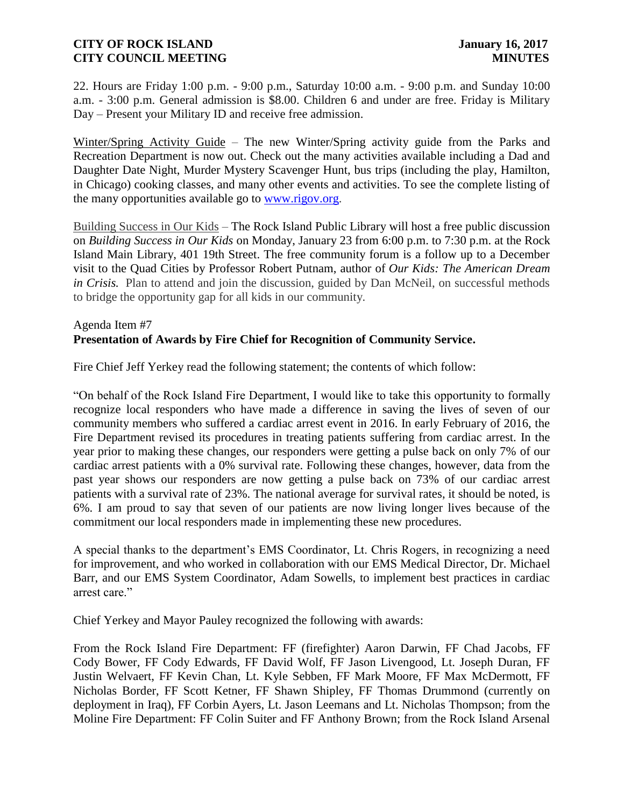22. Hours are Friday 1:00 p.m. - 9:00 p.m., Saturday 10:00 a.m. - 9:00 p.m. and Sunday 10:00 a.m. - 3:00 p.m. General admission is \$8.00. Children 6 and under are free. Friday is Military Day – Present your Military ID and receive free admission.

Winter/Spring Activity Guide – The new Winter/Spring activity guide from the Parks and Recreation Department is now out. Check out the many activities available including a Dad and Daughter Date Night, Murder Mystery Scavenger Hunt, bus trips (including the play, Hamilton, in Chicago) cooking classes, and many other events and activities. To see the complete listing of the many opportunities available go to [www.rigov.org.](http://www.rigov.org/)

Building Success in Our Kids – The Rock Island Public Library will host a free public discussion on *Building Success in Our Kids* on Monday, January 23 from 6:00 p.m. to 7:30 p.m. at the Rock Island Main Library, 401 19th Street. The free community forum is a follow up to a December visit to the Quad Cities by Professor Robert Putnam, author of *Our Kids: The American Dream in Crisis.* Plan to attend and join the discussion, guided by Dan McNeil, on successful methods to bridge the opportunity gap for all kids in our community.

#### Agenda Item #7 **Presentation of Awards by Fire Chief for Recognition of Community Service.**

Fire Chief Jeff Yerkey read the following statement; the contents of which follow:

"On behalf of the Rock Island Fire Department, I would like to take this opportunity to formally recognize local responders who have made a difference in saving the lives of seven of our community members who suffered a cardiac arrest event in 2016. In early February of 2016, the Fire Department revised its procedures in treating patients suffering from cardiac arrest. In the year prior to making these changes, our responders were getting a pulse back on only 7% of our cardiac arrest patients with a 0% survival rate. Following these changes, however, data from the past year shows our responders are now getting a pulse back on 73% of our cardiac arrest patients with a survival rate of 23%. The national average for survival rates, it should be noted, is 6%. I am proud to say that seven of our patients are now living longer lives because of the commitment our local responders made in implementing these new procedures.

A special thanks to the department's EMS Coordinator, Lt. Chris Rogers, in recognizing a need for improvement, and who worked in collaboration with our EMS Medical Director, Dr. Michael Barr, and our EMS System Coordinator, Adam Sowells, to implement best practices in cardiac arrest care."

Chief Yerkey and Mayor Pauley recognized the following with awards:

From the Rock Island Fire Department: FF (firefighter) Aaron Darwin, FF Chad Jacobs, FF Cody Bower, FF Cody Edwards, FF David Wolf, FF Jason Livengood, Lt. Joseph Duran, FF Justin Welvaert, FF Kevin Chan, Lt. Kyle Sebben, FF Mark Moore, FF Max McDermott, FF Nicholas Border, FF Scott Ketner, FF Shawn Shipley, FF Thomas Drummond (currently on deployment in Iraq), FF Corbin Ayers, Lt. Jason Leemans and Lt. Nicholas Thompson; from the Moline Fire Department: FF Colin Suiter and FF Anthony Brown; from the Rock Island Arsenal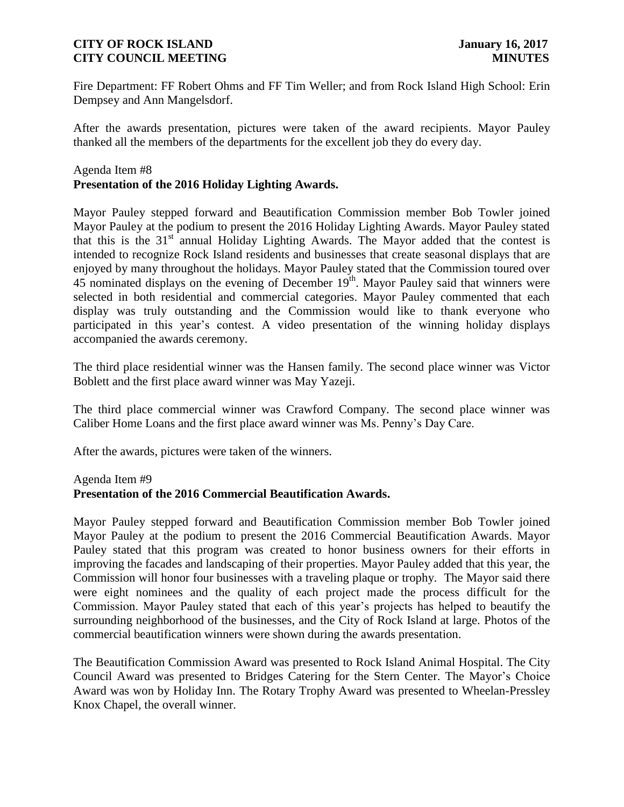Fire Department: FF Robert Ohms and FF Tim Weller; and from Rock Island High School: Erin Dempsey and Ann Mangelsdorf.

After the awards presentation, pictures were taken of the award recipients. Mayor Pauley thanked all the members of the departments for the excellent job they do every day.

#### Agenda Item #8

# **Presentation of the 2016 Holiday Lighting Awards.**

Mayor Pauley stepped forward and Beautification Commission member Bob Towler joined Mayor Pauley at the podium to present the 2016 Holiday Lighting Awards. Mayor Pauley stated that this is the  $31<sup>st</sup>$  annual Holiday Lighting Awards. The Mayor added that the contest is intended to recognize Rock Island residents and businesses that create seasonal displays that are enjoyed by many throughout the holidays. Mayor Pauley stated that the Commission toured over 45 nominated displays on the evening of December 19<sup>th</sup>. Mayor Pauley said that winners were selected in both residential and commercial categories. Mayor Pauley commented that each display was truly outstanding and the Commission would like to thank everyone who participated in this year's contest. A video presentation of the winning holiday displays accompanied the awards ceremony.

The third place residential winner was the Hansen family. The second place winner was Victor Boblett and the first place award winner was May Yazeji.

The third place commercial winner was Crawford Company. The second place winner was Caliber Home Loans and the first place award winner was Ms. Penny's Day Care.

After the awards, pictures were taken of the winners.

#### Agenda Item #9

#### **Presentation of the 2016 Commercial Beautification Awards.**

Mayor Pauley stepped forward and Beautification Commission member Bob Towler joined Mayor Pauley at the podium to present the 2016 Commercial Beautification Awards. Mayor Pauley stated that this program was created to honor business owners for their efforts in improving the facades and landscaping of their properties. Mayor Pauley added that this year, the Commission will honor four businesses with a traveling plaque or trophy. The Mayor said there were eight nominees and the quality of each project made the process difficult for the Commission. Mayor Pauley stated that each of this year's projects has helped to beautify the surrounding neighborhood of the businesses, and the City of Rock Island at large. Photos of the commercial beautification winners were shown during the awards presentation.

The Beautification Commission Award was presented to Rock Island Animal Hospital. The City Council Award was presented to Bridges Catering for the Stern Center. The Mayor's Choice Award was won by Holiday Inn. The Rotary Trophy Award was presented to Wheelan-Pressley Knox Chapel, the overall winner.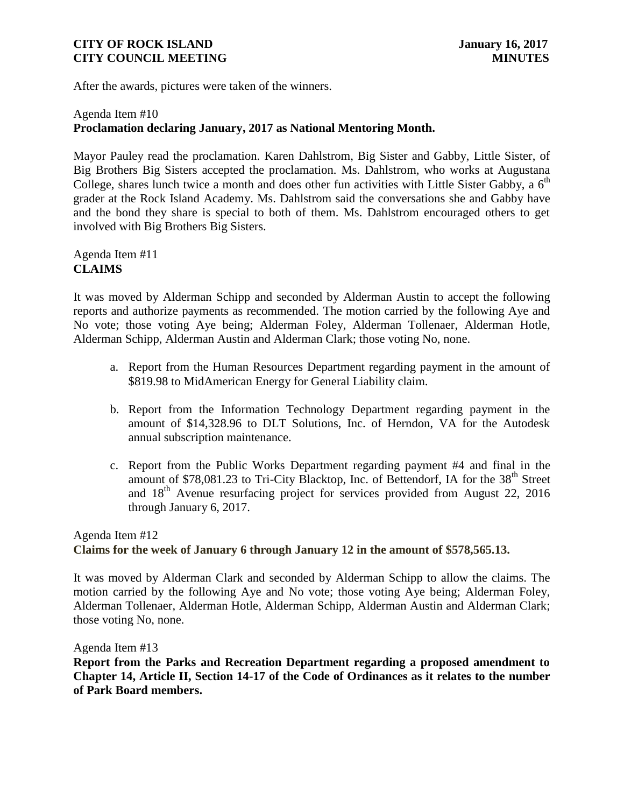After the awards, pictures were taken of the winners.

## Agenda Item #10 **Proclamation declaring January, 2017 as National Mentoring Month.**

Mayor Pauley read the proclamation. Karen Dahlstrom, Big Sister and Gabby, Little Sister, of Big Brothers Big Sisters accepted the proclamation. Ms. Dahlstrom, who works at Augustana College, shares lunch twice a month and does other fun activities with Little Sister Gabby, a  $6<sup>th</sup>$ grader at the Rock Island Academy. Ms. Dahlstrom said the conversations she and Gabby have and the bond they share is special to both of them. Ms. Dahlstrom encouraged others to get involved with Big Brothers Big Sisters.

Agenda Item #11 **CLAIMS**

It was moved by Alderman Schipp and seconded by Alderman Austin to accept the following reports and authorize payments as recommended. The motion carried by the following Aye and No vote; those voting Aye being; Alderman Foley, Alderman Tollenaer, Alderman Hotle, Alderman Schipp, Alderman Austin and Alderman Clark; those voting No, none.

- a. Report from the Human Resources Department regarding payment in the amount of \$819.98 to MidAmerican Energy for General Liability claim.
- b. Report from the Information Technology Department regarding payment in the amount of \$14,328.96 to DLT Solutions, Inc. of Herndon, VA for the Autodesk annual subscription maintenance.
- c. Report from the Public Works Department regarding payment #4 and final in the amount of  $$78,081.23$  to Tri-City Blacktop, Inc. of Bettendorf, IA for the  $38<sup>th</sup>$  Street and  $18<sup>th</sup>$  Avenue resurfacing project for services provided from August 22, 2016 through January 6, 2017.

# Agenda Item #12 **Claims for the week of January 6 through January 12 in the amount of \$578,565.13.**

It was moved by Alderman Clark and seconded by Alderman Schipp to allow the claims. The motion carried by the following Aye and No vote; those voting Aye being; Alderman Foley, Alderman Tollenaer, Alderman Hotle, Alderman Schipp, Alderman Austin and Alderman Clark; those voting No, none.

Agenda Item #13

**Report from the Parks and Recreation Department regarding a proposed amendment to Chapter 14, Article II, Section 14-17 of the Code of Ordinances as it relates to the number of Park Board members.**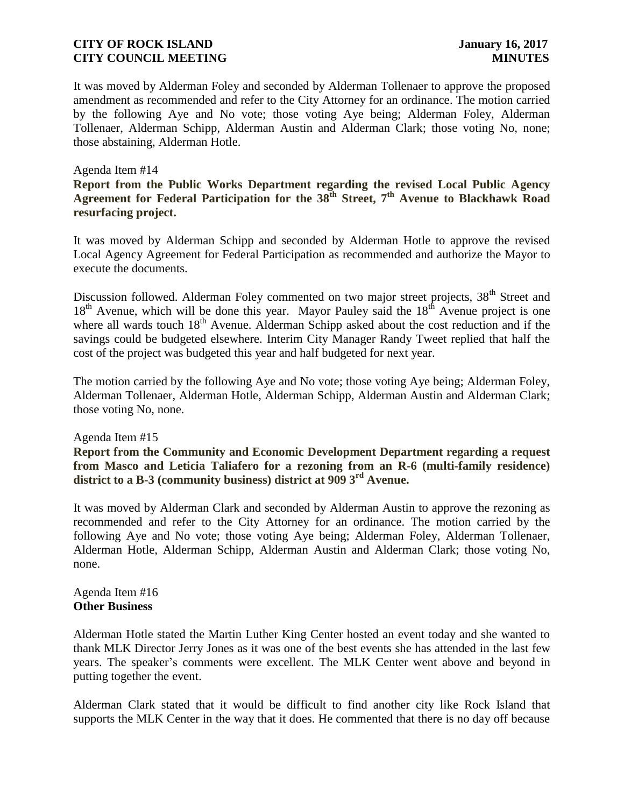It was moved by Alderman Foley and seconded by Alderman Tollenaer to approve the proposed amendment as recommended and refer to the City Attorney for an ordinance. The motion carried by the following Aye and No vote; those voting Aye being; Alderman Foley, Alderman Tollenaer, Alderman Schipp, Alderman Austin and Alderman Clark; those voting No, none; those abstaining, Alderman Hotle.

#### Agenda Item #14

**Report from the Public Works Department regarding the revised Local Public Agency Agreement for Federal Participation for the 38th Street, 7th Avenue to Blackhawk Road resurfacing project.**

It was moved by Alderman Schipp and seconded by Alderman Hotle to approve the revised Local Agency Agreement for Federal Participation as recommended and authorize the Mayor to execute the documents.

Discussion followed. Alderman Foley commented on two major street projects, 38<sup>th</sup> Street and  $18<sup>th</sup>$  Avenue, which will be done this year. Mayor Pauley said the  $18<sup>th</sup>$  Avenue project is one where all wards touch  $18<sup>th</sup>$  Avenue. Alderman Schipp asked about the cost reduction and if the savings could be budgeted elsewhere. Interim City Manager Randy Tweet replied that half the cost of the project was budgeted this year and half budgeted for next year.

The motion carried by the following Aye and No vote; those voting Aye being; Alderman Foley, Alderman Tollenaer, Alderman Hotle, Alderman Schipp, Alderman Austin and Alderman Clark; those voting No, none.

#### Agenda Item #15

**Report from the Community and Economic Development Department regarding a request from Masco and Leticia Taliafero for a rezoning from an R-6 (multi-family residence) district to a B-3 (community business) district at 909 3rd Avenue.**

It was moved by Alderman Clark and seconded by Alderman Austin to approve the rezoning as recommended and refer to the City Attorney for an ordinance. The motion carried by the following Aye and No vote; those voting Aye being; Alderman Foley, Alderman Tollenaer, Alderman Hotle, Alderman Schipp, Alderman Austin and Alderman Clark; those voting No, none.

#### Agenda Item #16 **Other Business**

Alderman Hotle stated the Martin Luther King Center hosted an event today and she wanted to thank MLK Director Jerry Jones as it was one of the best events she has attended in the last few years. The speaker's comments were excellent. The MLK Center went above and beyond in putting together the event.

Alderman Clark stated that it would be difficult to find another city like Rock Island that supports the MLK Center in the way that it does. He commented that there is no day off because